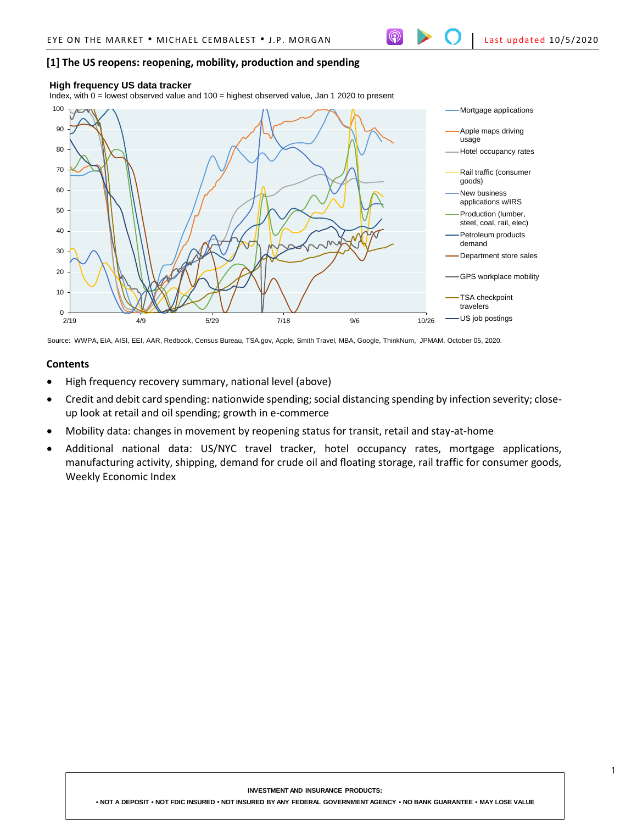## **[1] The US reopens: reopening, mobility, production and spending**

#### **High frequency US data tracker**

Index, with 0 = lowest observed value and 100 = highest observed value, Jan 1 2020 to present



Source: WWPA, EIA, AISI, EEI, AAR, Redbook, Census Bureau, TSA.gov, Apple, Smith Travel, MBA, Google, ThinkNum, JPMAM. October 05, 2020.

#### **Contents**

- High frequency recovery summary, national level (above)
- Credit and debit card spending: nationwide spending; social distancing spending by infection severity; closeup look at retail and oil spending; growth in e-commerce
- Mobility data: changes in movement by reopening status for transit, retail and stay-at-home
- Additional national data: US/NYC travel tracker, hotel occupancy rates, mortgage applications, manufacturing activity, shipping, demand for crude oil and floating storage, rail traffic for consumer goods, Weekly Economic Index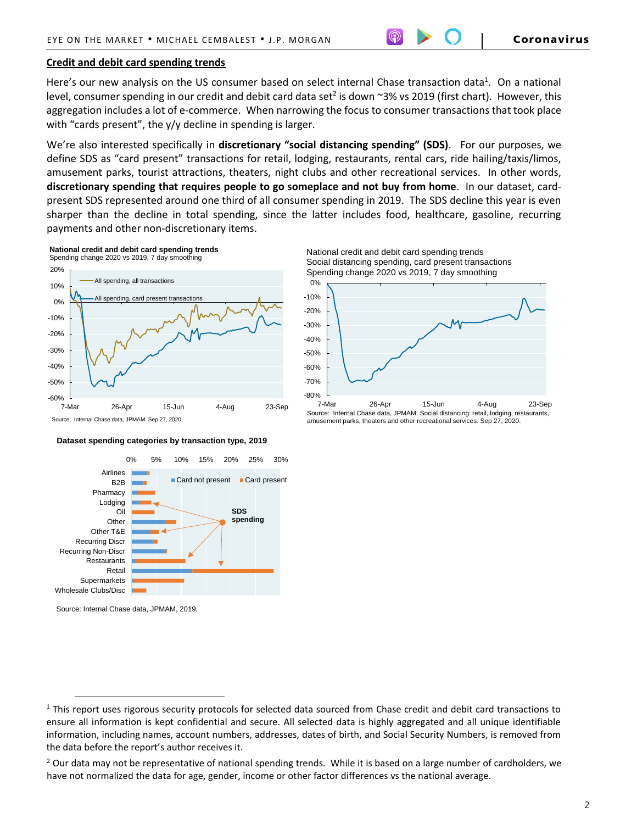## **Credit and debit card spending trends**

Here's our new analysis on the US consumer based on select internal Chase transaction data<sup>1</sup>. On a national level, consumer spending in our credit and debit card data set<sup>2</sup> is down ~3% vs 2019 (first chart). However, this aggregation includes a lot of e-commerce. When narrowing the focus to consumer transactions that took place with "cards present", the y/y decline in spending is larger.

We're also interested specifically in **discretionary "social distancing spending" (SDS)**. For our purposes, we define SDS as "card present" transactions for retail, lodging, restaurants, rental cars, ride hailing/taxis/limos, amusement parks, tourist attractions, theaters, night clubs and other recreational services. In other words, **discretionary spending that requires people to go someplace and not buy from home**. In our dataset, cardpresent SDS represented around one third of all consumer spending in 2019. The SDS decline this year is even sharper than the decline in total spending, since the latter includes food, healthcare, gasoline, recurring payments and other non-discretionary items.



**Dataset spending categories by transaction type, 2019**





 $\overline{a}$ 





Source: Internal Chase data, JPMAM. Social distancing: retail, lodging, restaurants, amusement parks, theaters and other recreational services. Sep 27, 2020.

 $1$  This report uses rigorous security protocols for selected data sourced from Chase credit and debit card transactions to ensure all information is kept confidential and secure. All selected data is highly aggregated and all unique identifiable information, including names, account numbers, addresses, dates of birth, and Social Security Numbers, is removed from the data before the report's author receives it.

<sup>&</sup>lt;sup>2</sup> Our data may not be representative of national spending trends. While it is based on a large number of cardholders, we have not normalized the data for age, gender, income or other factor differences vs the national average.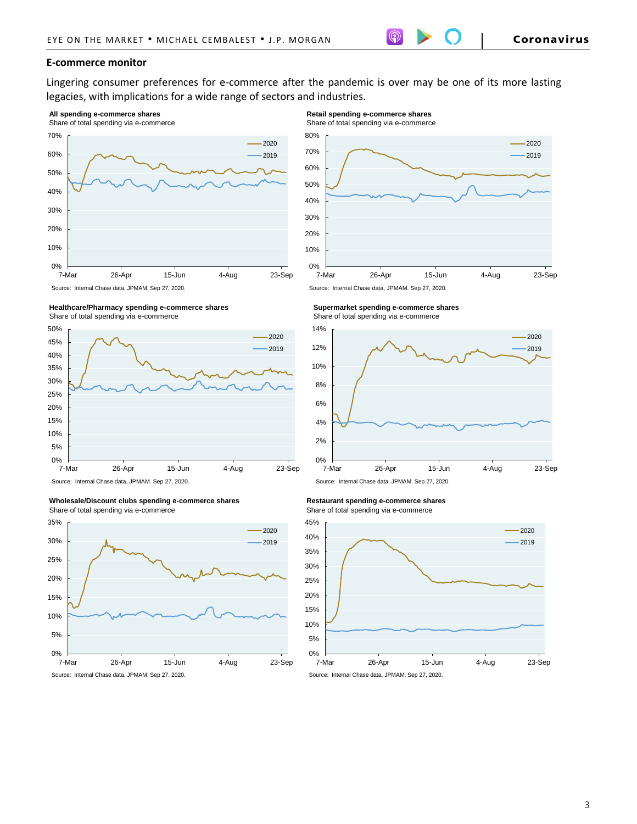## **E-commerce monitor**

Lingering consumer preferences for e-commerce after the pandemic is over may be one of its more lasting legacies, with implications for a wide range of sectors and industries.

### **All spending e-commerce shares**







#### **Wholesale/Discount clubs spending e-commerce shares** Share of total spending via e-commerce



**Retail spending e-commerce shares**

Share of total spending via e-commerce







#### **Restaurant spending e-commerce shares**

Share of total spending via e-commerce



Source: Internal Chase data, JPMAM. Sep 27, 2020.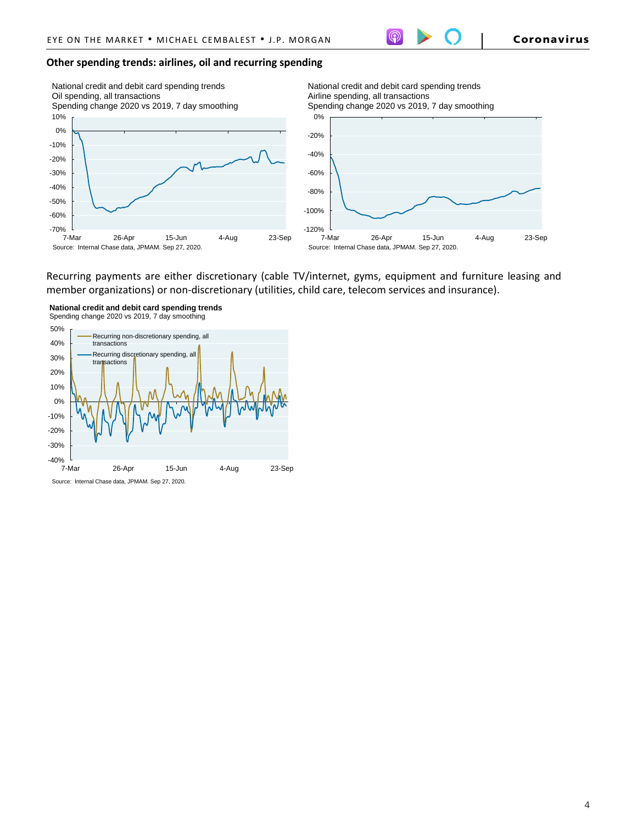## **Other spending trends: airlines, oil and recurring spending**



National credit and debit card spending trends Airline spending, all transactions Spending change 2020 vs 2019, 7 day smoothing



Recurring payments are either discretionary (cable TV/internet, gyms, equipment and furniture leasing and member organizations) or non-discretionary (utilities, child care, telecom services and insurance).



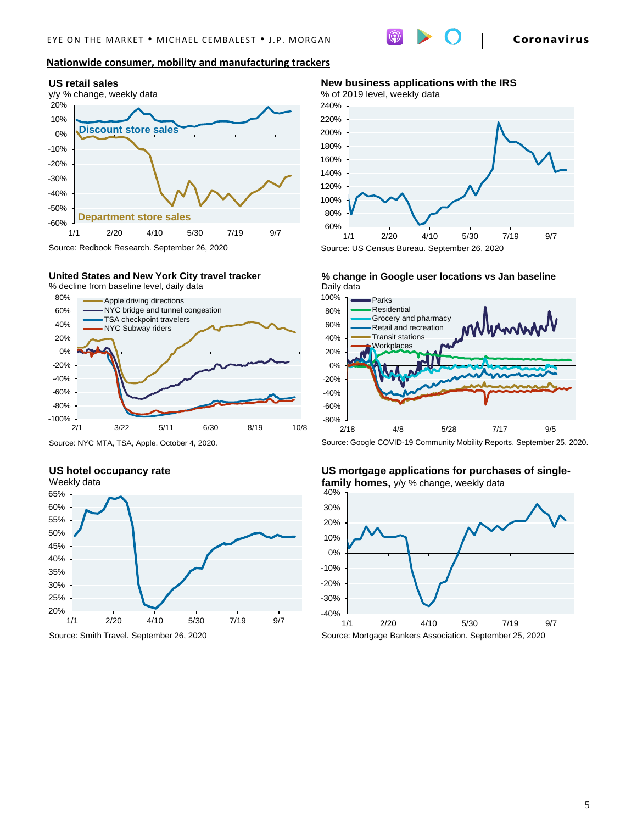## **Nationwide consumer, mobility and manufacturing trackers**



#### **United States and New York City travel tracker** % decline from baseline level, daily data



Source: NYC MTA, TSA, Apple. October 4, 2020.

# **US hotel occupancy rate**



**New business applications with the IRS**



Source: US Census Bureau. September 26, 2020

**% change in Google user locations vs Jan baseline** Daily data



Source: Google COVID-19 Community Mobility Reports. September 25, 2020.

## **US mortgage applications for purchases of singlefamily homes,** y/y % change, weekly data

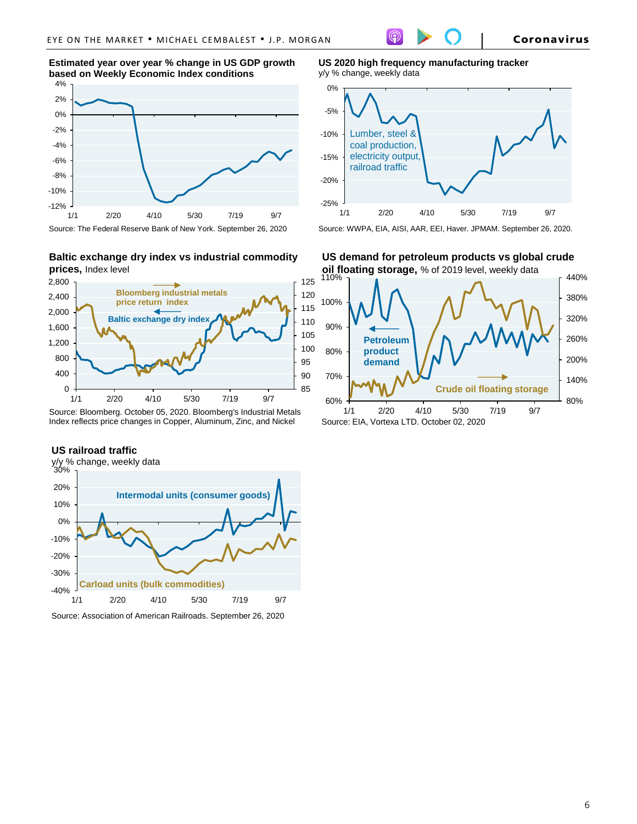**Estimated year over year % change in US GDP growth based on Weekly Economic Index conditions**



**Baltic exchange dry index vs industrial commodity prices,** Index level



Source: Bloomberg. October 05, 2020. Bloomberg's Industrial Metals Index reflects price changes in Copper, Aluminum, Zinc, and Nickel

#### **US railroad traffic**



Source: Association of American Railroads. September 26, 2020

**US 2020 high frequency manufacturing tracker**  y/y % change, weekly data



Source: WWPA, EIA, AISI, AAR, EEI, Haver. JPMAM. September 26, 2020.

**oil floating storage,** % of 2019 level, weekly data **US demand for petroleum products vs global crude** 

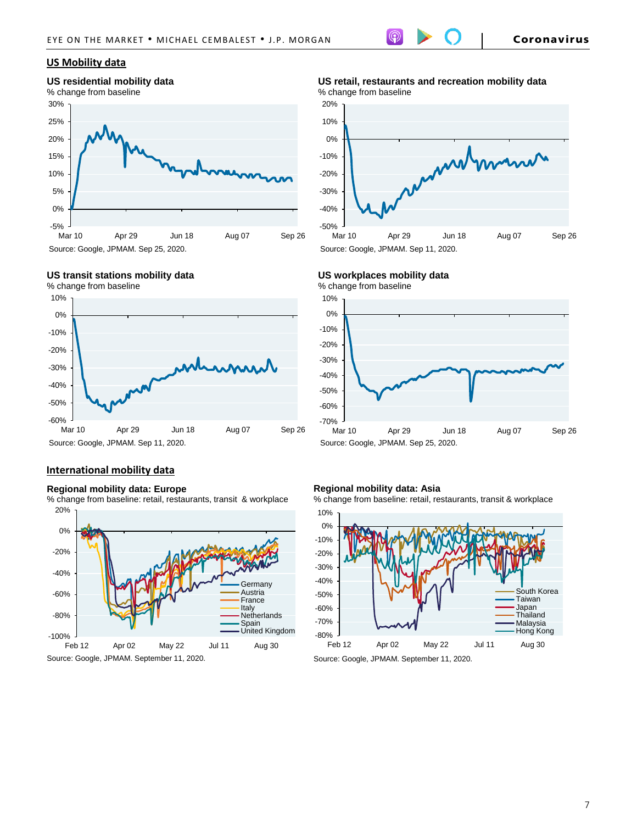## **US Mobility data**

## **US residential mobility data**





# **US transit stations mobility data**



# **International mobility data**

## **Regional mobility data: Europe**

20% % change from baseline: retail, restaurants, transit & workplace



**US retail, restaurants and recreation mobility data** % change from baseline



## **US workplaces mobility data**



## **Regional mobility data: Asia**

% change from baseline: retail, restaurants, transit & workplace



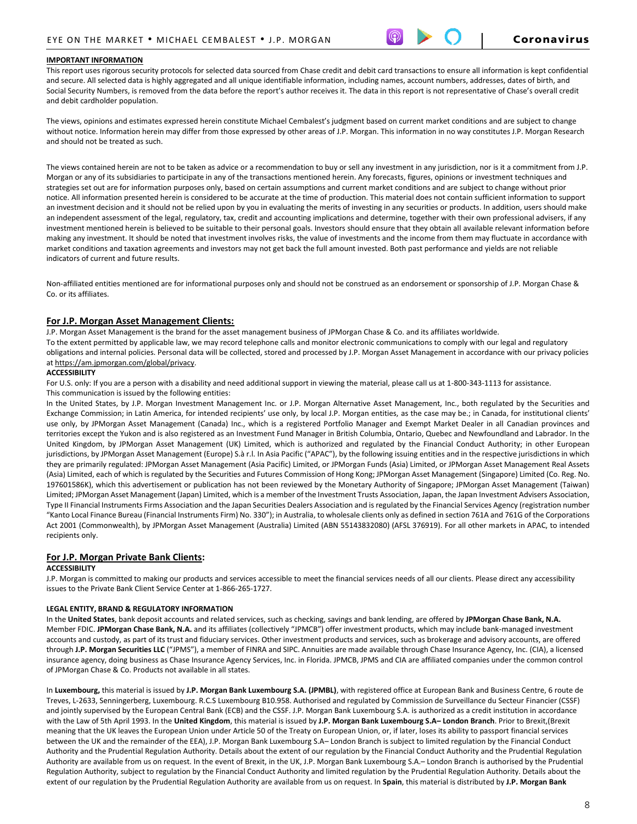#### **IMPORTANT INFORMATION**

This report uses rigorous security protocols for selected data sourced from Chase credit and debit card transactions to ensure all information is kept confidential and secure. All selected data is highly aggregated and all unique identifiable information, including names, account numbers, addresses, dates of birth, and Social Security Numbers, is removed from the data before the report's author receives it. The data in this report is not representative of Chase's overall credit and debit cardholder population.

The views, opinions and estimates expressed herein constitute Michael Cembalest's judgment based on current market conditions and are subject to change without notice. Information herein may differ from those expressed by other areas of J.P. Morgan. This information in no way constitutes J.P. Morgan Research and should not be treated as such.

The views contained herein are not to be taken as advice or a recommendation to buy or sell any investment in any jurisdiction, nor is it a commitment from J.P. Morgan or any of its subsidiaries to participate in any of the transactions mentioned herein. Any forecasts, figures, opinions or investment techniques and strategies set out are for information purposes only, based on certain assumptions and current market conditions and are subject to change without prior notice. All information presented herein is considered to be accurate at the time of production. This material does not contain sufficient information to support an investment decision and it should not be relied upon by you in evaluating the merits of investing in any securities or products. In addition, users should make an independent assessment of the legal, regulatory, tax, credit and accounting implications and determine, together with their own professional advisers, if any investment mentioned herein is believed to be suitable to their personal goals. Investors should ensure that they obtain all available relevant information before making any investment. It should be noted that investment involves risks, the value of investments and the income from them may fluctuate in accordance with market conditions and taxation agreements and investors may not get back the full amount invested. Both past performance and yields are not reliable indicators of current and future results.

Non-affiliated entities mentioned are for informational purposes only and should not be construed as an endorsement or sponsorship of J.P. Morgan Chase & Co. or its affiliates.

#### **For J.P. Morgan Asset Management Clients:**

J.P. Morgan Asset Management is the brand for the asset management business of JPMorgan Chase & Co. and its affiliates worldwide. To the extent permitted by applicable law, we may record telephone calls and monitor electronic communications to comply with our legal and regulatory obligations and internal policies. Personal data will be collected, stored and processed by J.P. Morgan Asset Management in accordance with our privacy policies a[t https://am.jpmorgan.com/global/privacy.](https://am.jpmorgan.com/global/privacy)

#### **ACCESSIBILITY**

For U.S. only: If you are a person with a disability and need additional support in viewing the material, please call us at 1-800-343-1113 for assistance. This communication is issued by the following entities:

In the United States, by J.P. Morgan Investment Management Inc. or J.P. Morgan Alternative Asset Management, Inc., both regulated by the Securities and Exchange Commission; in Latin America, for intended recipients' use only, by local J.P. Morgan entities, as the case may be.; in Canada, for institutional clients' use only, by JPMorgan Asset Management (Canada) Inc., which is a registered Portfolio Manager and Exempt Market Dealer in all Canadian provinces and territories except the Yukon and is also registered as an Investment Fund Manager in British Columbia, Ontario, Quebec and Newfoundland and Labrador. In the United Kingdom, by JPMorgan Asset Management (UK) Limited, which is authorized and regulated by the Financial Conduct Authority; in other European jurisdictions, by JPMorgan Asset Management (Europe) S.à r.l. In Asia Pacific ("APAC"), by the following issuing entities and in the respective jurisdictions in which they are primarily regulated: JPMorgan Asset Management (Asia Pacific) Limited, or JPMorgan Funds (Asia) Limited, or JPMorgan Asset Management Real Assets (Asia) Limited, each of which is regulated by the Securities and Futures Commission of Hong Kong; JPMorgan Asset Management (Singapore) Limited (Co. Reg. No. 197601586K), which this advertisement or publication has not been reviewed by the Monetary Authority of Singapore; JPMorgan Asset Management (Taiwan) Limited; JPMorgan Asset Management (Japan) Limited, which is a member of the Investment Trusts Association, Japan, the Japan Investment Advisers Association, Type II Financial Instruments Firms Association and the Japan Securities Dealers Association and is regulated by the Financial Services Agency (registration number "Kanto Local Finance Bureau (Financial Instruments Firm) No. 330"); in Australia, to wholesale clients only as defined in section 761A and 761G of the Corporations Act 2001 (Commonwealth), by JPMorgan Asset Management (Australia) Limited (ABN 55143832080) (AFSL 376919). For all other markets in APAC, to intended recipients only.

#### **For J.P. Morgan Private Bank Clients:**

#### **ACCESSIBILITY**

J.P. Morgan is committed to making our products and services accessible to meet the financial services needs of all our clients. Please direct any accessibility issues to the Private Bank Client Service Center at 1-866-265-1727.

#### **LEGAL ENTITY, BRAND & REGULATORY INFORMATION**

In the **United States**, bank deposit accounts and related services, such as checking, savings and bank lending, are offered by **JPMorgan Chase Bank, N.A.**  Member FDIC. **JPMorgan Chase Bank, N.A.** and its affiliates (collectively "JPMCB") offer investment products, which may include bank-managed investment accounts and custody, as part of its trust and fiduciary services. Other investment products and services, such as brokerage and advisory accounts, are offered through **J.P. Morgan Securities LLC** ("JPMS"), a member of FINRA and SIPC. Annuities are made available through Chase Insurance Agency, Inc. (CIA), a licensed insurance agency, doing business as Chase Insurance Agency Services, Inc. in Florida. JPMCB, JPMS and CIA are affiliated companies under the common control of JPMorgan Chase & Co. Products not available in all states.

In **Luxembourg,** this material is issued by **J.P. Morgan Bank Luxembourg S.A. (JPMBL)**, with registered office at European Bank and Business Centre, 6 route de Treves, L-2633, Senningerberg, Luxembourg. R.C.S Luxembourg B10.958. Authorised and regulated by Commission de Surveillance du Secteur Financier (CSSF) and jointly supervised by the European Central Bank (ECB) and the CSSF. J.P. Morgan Bank Luxembourg S.A. is authorized as a credit institution in accordance with the Law of 5th April 1993. In the **United Kingdom**, this material is issued by **J.P. Morgan Bank Luxembourg S.A– London Branch**. Prior to Brexit,(Brexit meaning that the UK leaves the European Union under Article 50 of the Treaty on European Union, or, if later, loses its ability to passport financial services between the UK and the remainder of the EEA), J.P. Morgan Bank Luxembourg S.A– London Branch is subject to limited regulation by the Financial Conduct Authority and the Prudential Regulation Authority. Details about the extent of our regulation by the Financial Conduct Authority and the Prudential Regulation Authority are available from us on request. In the event of Brexit, in the UK, J.P. Morgan Bank Luxembourg S.A.– London Branch is authorised by the Prudential Regulation Authority, subject to regulation by the Financial Conduct Authority and limited regulation by the Prudential Regulation Authority. Details about the extent of our regulation by the Prudential Regulation Authority are available from us on request. In **Spain**, this material is distributed by **J.P. Morgan Bank**